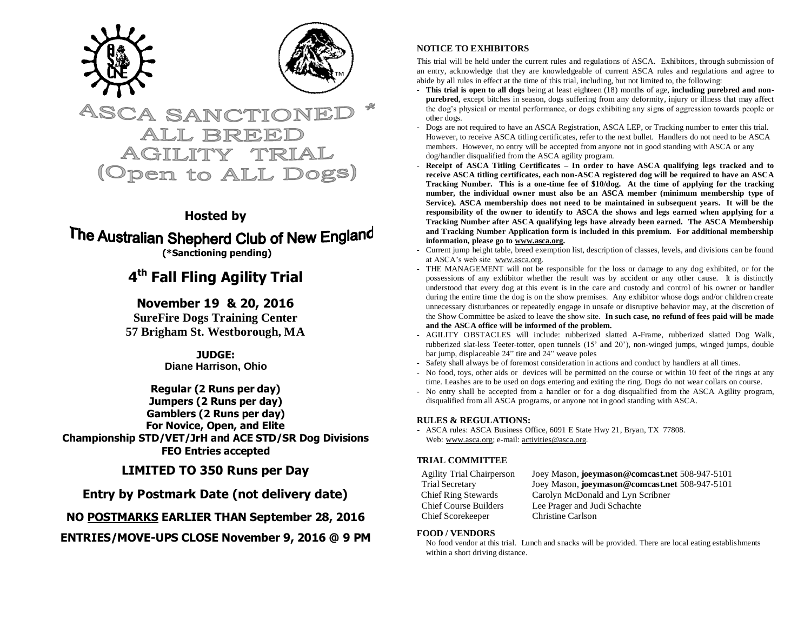



# **ASCA SANCTIO** ALL BREE (Open to ALL Dogs)

### **Hosted by**

# The Australian Shepherd Club of New England **(\*Sanctioning pending)**

# **4 th Fall Fling Agility Trial**

**November 19 & 20, 2016 SureFire Dogs Training Center 57 Brigham St. Westborough, MA**

> **JUDGE: Diane Harrison, Ohio**

**Regular (2 Runs per day) Jumpers (2 Runs per day) Gamblers (2 Runs per day) For Novice, Open, and Elite Championship STD/VET/JrH and ACE STD/SR Dog Divisions FEO Entries accepted**

**LIMITED TO 350 Runs per Day**

**Entry by Postmark Date (not delivery date)**

**NO POSTMARKS EARLIER THAN September 28, 2016**

**ENTRIES/MOVE-UPS CLOSE November 9, 2016 @ 9 PM**

#### **NOTICE TO EXHIBITORS**

This trial will be held under the current rules and regulations of ASCA. Exhibitors, through submission of an entry, acknowledge that they are knowledgeable of current ASCA rules and regulations and agree to abide by all rules in effect at the time of this trial, including, but not limited to, the following:

- **This trial is open to all dogs** being at least eighteen (18) months of age, **including purebred and nonpurebred**, except bitches in season, dogs suffering from any deformity, injury or illness that may affect the dog's physical or mental performance, or dogs exhibiting any signs of aggression towards people or other dogs.
- Dogs are not required to have an ASCA Registration, ASCA LEP, or Tracking number to enter this trial. However, to receive ASCA titling certificates, refer to the next bullet. Handlers do not need to be ASCA members. However, no entry will be accepted from anyone not in good standing with ASCA or any dog/handler disqualified from the ASCA agility program.
- **Receipt of ASCA Titling Certificates – In order to have ASCA qualifying legs tracked and to receive ASCA titling certificates, each non-ASCA registered dog will be required to have an ASCA Tracking Number. This is a one-time fee of \$10/dog. At the time of applying for the tracking number, the individual owner must also be an ASCA member (minimum membership type of Service). ASCA membership does not need to be maintained in subsequent years. It will be the responsibility of the owner to identify to ASCA the shows and legs earned when applying for a Tracking Number after ASCA qualifying legs have already been earned. The ASCA Membership and Tracking Number Application form is included in this premium. For additional membership information, please go to www.asca.org.**
- Current jump height table, breed exemption list, description of classes, levels, and divisions can be found at ASCA's web site [www.asca.org.](http://www.asca.org/)
- THE MANAGEMENT will not be responsible for the loss or damage to any dog exhibited, or for the possessions of any exhibitor whether the result was by accident or any other cause. It is distinctly understood that every dog at this event is in the care and custody and control of his owner or handler during the entire time the dog is on the show premises. Any exhibitor whose dogs and/or children create unnecessary disturbances or repeatedly engage in unsafe or disruptive behavior may, at the discretion of the Show Committee be asked to leave the show site. **In such case, no refund of fees paid will be made and the ASCA office will be informed of the problem.**
- AGILITY OBSTACLES will include: rubberized slatted A-Frame, rubberized slatted Dog Walk, rubberized slat-less Teeter-totter, open tunnels (15' and 20'), non-winged jumps, winged jumps, double bar jump, displaceable 24" tire and 24" weave poles
- Safety shall always be of foremost consideration in actions and conduct by handlers at all times.
- No food, toys, other aids or devices will be permitted on the course or within 10 feet of the rings at any time. Leashes are to be used on dogs entering and exiting the ring. Dogs do not wear collars on course.
- No entry shall be accepted from a handler or for a dog disqualified from the ASCA Agility program, disqualified from all ASCA programs, or anyone not in good standing with ASCA.

#### **RULES & REGULATIONS:**

- ASCA rules: ASCA Business Office, 6091 E State Hwy 21, Bryan, TX 77808. Web: [www.asca.org;](http://www.asca.org/) e-mail: [activities@asca.org.](mailto:activities@asca.org) 

#### **TRIAL COMMITTEE**

Chief Scorekeeper Christine Carlson

Agility Trial Chairperson Joey Mason, **joeymason@comcast.net** 508-947-5101 Trial Secretary Joey Mason, **joeymason@comcast.net** 508-947-5101 Chief Ring Stewards Carolyn McDonald and Lyn Scribner Chief Course Builders Lee Prager and Judi Schachte

#### **FOOD / VENDORS**

No food vendor at this trial. Lunch and snacks will be provided. There are local eating establishments within a short driving distance.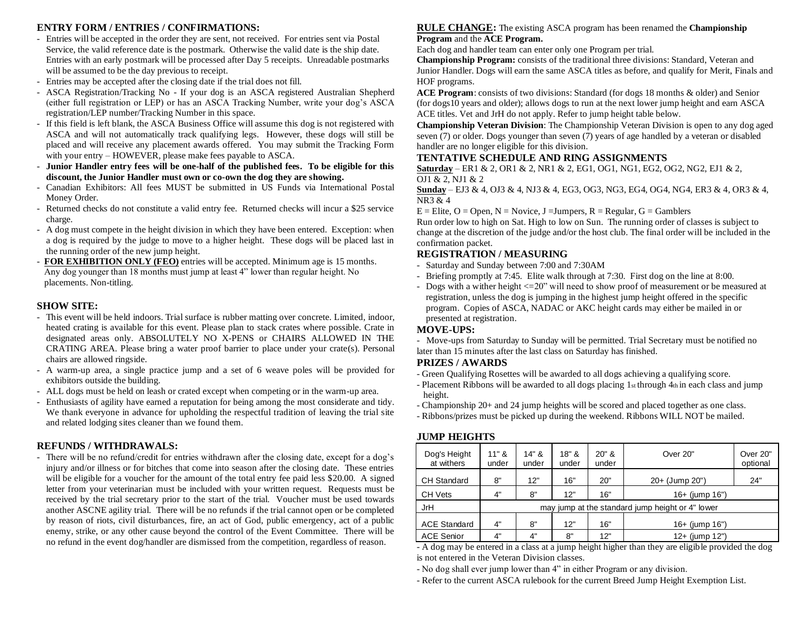#### **ENTRY FORM / ENTRIES / CONFIRMATIONS:**

- Entries will be accepted in the order they are sent, not received. For entries sent via Postal Service, the valid reference date is the postmark. Otherwise the valid date is the ship date. Entries with an early postmark will be processed after Day 5 receipts. Unreadable postmarks will be assumed to be the day previous to receipt.
- Entries may be accepted after the closing date if the trial does not fill.
- ASCA Registration/Tracking No If your dog is an ASCA registered Australian Shepherd (either full registration or LEP) or has an ASCA Tracking Number, write your dog's ASCA registration/LEP number/Tracking Number in this space.
- If this field is left blank, the ASCA Business Office will assume this dog is not registered with ASCA and will not automatically track qualifying legs. However, these dogs will still be placed and will receive any placement awards offered. You may submit the Tracking Form with your entry – HOWEVER, please make fees payable to ASCA.
- **Junior Handler entry fees will be one-half of the published fees. To be eligible for this discount, the Junior Handler must own or co-own the dog they are showing.**
- Canadian Exhibitors: All fees MUST be submitted in US Funds via International Postal Money Order.
- Returned checks do not constitute a valid entry fee. Returned checks will incur a \$25 service charge.
- A dog must compete in the height division in which they have been entered. Exception: when a dog is required by the judge to move to a higher height. These dogs will be placed last in the running order of the new jump height.
- **FOR EXHIBITION ONLY (FEO)** entries will be accepted. Minimum age is 15 months. Any dog younger than 18 months must jump at least 4" lower than regular height. No placements. Non-titling.

#### **SHOW SITE:**

- This event will be held indoors. Trial surface is rubber matting over concrete. Limited, indoor, heated crating is available for this event. Please plan to stack crates where possible. Crate in designated areas only. ABSOLUTELY NO X-PENS or CHAIRS ALLOWED IN THE CRATING AREA. Please bring a water proof barrier to place under your crate(s). Personal chairs are allowed ringside.
- A warm-up area, a single practice jump and a set of 6 weave poles will be provided for exhibitors outside the building.
- ALL dogs must be held on leash or crated except when competing or in the warm-up area.
- Enthusiasts of agility have earned a reputation for being among the most considerate and tidy. We thank everyone in advance for upholding the respectful tradition of leaving the trial site and related lodging sites cleaner than we found them.

#### **REFUNDS / WITHDRAWALS:**

- There will be no refund/credit for entries withdrawn after the closing date, except for a dog's injury and/or illness or for bitches that come into season after the closing date. These entries will be eligible for a voucher for the amount of the total entry fee paid less \$20.00. A signed letter from your veterinarian must be included with your written request. Requests must be received by the trial secretary prior to the start of the trial. Voucher must be used towards another ASCNE agility trial. There will be no refunds if the trial cannot open or be completed by reason of riots, civil disturbances, fire, an act of God, public emergency, act of a public enemy, strike, or any other cause beyond the control of the Event Committee. There will be no refund in the event dog/handler are dismissed from the competition, regardless of reason.

#### **RULE CHANGE:** The existing ASCA program has been renamed the **Championship Program** and the **ACE Program.**

Each dog and handler team can enter only one Program per trial.

**Championship Program:** consists of the traditional three divisions: Standard, Veteran and Junior Handler. Dogs will earn the same ASCA titles as before, and qualify for Merit, Finals and HOF programs.

**ACE Program**: consists of two divisions: Standard (for dogs 18 months & older) and Senior (for dogs10 years and older); allows dogs to run at the next lower jump height and earn ASCA ACE titles. Vet and JrH do not apply. Refer to jump height table below.

**Championship Veteran Division**: The Championship Veteran Division is open to any dog aged seven (7) or older. Dogs younger than seven (7) years of age handled by a veteran or disabled handler are no longer eligible for this division.

#### **TENTATIVE SCHEDULE AND RING ASSIGNMENTS**

**Saturday** – ER1 & 2, OR1 & 2, NR1 & 2, EG1, OG1, NG1, EG2, OG2, NG2, EJ1 & 2, OJ1 & 2, NJ1 & 2

**Sunday** – EJ3 & 4, OJ3 & 4, NJ3 & 4, EG3, OG3, NG3, EG4, OG4, NG4, ER3 & 4, OR3 & 4, NR3 & 4

 $E =$  Elite,  $O =$  Open,  $N =$  Novice, J = Jumpers,  $R =$  Regular,  $G =$  Gamblers

Run order low to high on Sat. High to low on Sun. The running order of classes is subject to change at the discretion of the judge and/or the host club. The final order will be included in the confirmation packet.

#### **REGISTRATION / MEASURING**

- Saturday and Sunday between 7:00 and 7:30AM
- Briefing promptly at 7:45. Elite walk through at 7:30. First dog on the line at 8:00.
- Dogs with a wither height  $\langle 20^\circ \rangle$  will need to show proof of measurement or be measured at registration, unless the dog is jumping in the highest jump height offered in the specific program. Copies of ASCA, NADAC or AKC height cards may either be mailed in or presented at registration.

#### **MOVE-UPS:**

- Move-ups from Saturday to Sunday will be permitted. Trial Secretary must be notified no later than 15 minutes after the last class on Saturday has finished.

#### **PRIZES / AWARDS**

- Green Qualifying Rosettes will be awarded to all dogs achieving a qualifying score.
- Placement Ribbons will be awarded to all dogs placing  $1<sub>st</sub>$  through  $4<sub>th</sub>$  in each class and jump height.
- Championship 20+ and 24 jump heights will be scored and placed together as one class.
- Ribbons/prizes must be picked up during the weekend. Ribbons WILL NOT be mailed.

#### **JUMP HEIGHTS**

| Dog's Height<br>at withers | $11"$ &<br>under                                 | $14"$ &<br>under | $18"$ &<br>under | $20"$ &<br>under | Over 20"            | Over 20"<br>optional |  |  |  |
|----------------------------|--------------------------------------------------|------------------|------------------|------------------|---------------------|----------------------|--|--|--|
| <b>CH Standard</b>         | 8"                                               | 12"              | 16"              | 20"              | $20+$ (Jump 20")    | 24"                  |  |  |  |
| CH Vets                    | 4"                                               | 8"               | 12"              | 16"              | $16+$ (jump $16"$ ) |                      |  |  |  |
| JrH                        | may jump at the standard jump height or 4" lower |                  |                  |                  |                     |                      |  |  |  |
| <b>ACE Standard</b>        | 4"                                               | 8"               | 12"              | 16"              | $16+$ (jump $16"$ ) |                      |  |  |  |
| <b>ACE Senior</b>          | 4"                                               | 4"               | 8"               | 12"              | $12+$ (jump $12"$ ) |                      |  |  |  |

- A dog may be entered in a class at a jump height higher than they are eligible provided the dog is not entered in the Veteran Division classes.

- No dog shall ever jump lower than 4" in either Program or any division.

- Refer to the current ASCA rulebook for the current Breed Jump Height Exemption List.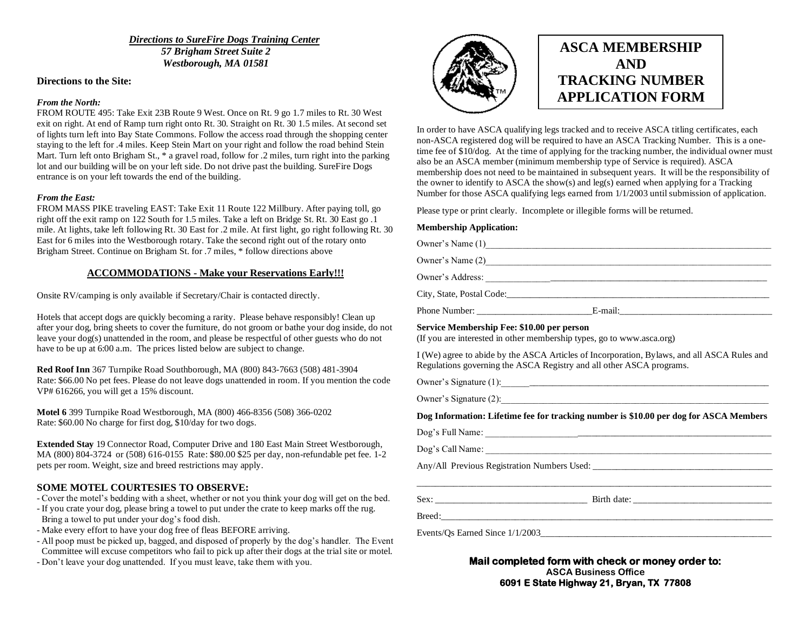*Directions to SureFire Dogs Training Center 57 Brigham Street Suite 2 Westborough, MA 01581*

#### **Directions to the Site:**

#### *From the North:*

FROM ROUTE 495: Take Exit 23B Route 9 West. Once on Rt. 9 go 1.7 miles to Rt. 30 West exit on right. At end of Ramp turn right onto Rt. 30. Straight on Rt. 30 1.5 miles. At second set of lights turn left into Bay State Commons. Follow the access road through the shopping center staying to the left for .4 miles. Keep Stein Mart on your right and follow the road behind Stein Mart. Turn left onto Brigham St., \* a gravel road, follow for .2 miles, turn right into the parking lot and our building will be on your left side. Do not drive past the building. SureFire Dogs entrance is on your left towards the end of the building.

#### *From the East:*

FROM MASS PIKE traveling EAST: Take Exit 11 Route 122 Millbury. After paying toll, go right off the exit ramp on 122 South for 1.5 miles. Take a left on Bridge St. Rt. 30 East go .1 mile. At lights, take left following Rt. 30 East for .2 mile. At first light, go right following Rt. 30 East for 6 miles into the Westborough rotary. Take the second right out of the rotary onto Brigham Street. Continue on Brigham St. for .7 miles, \* follow directions above

#### **ACCOMMODATIONS - Make your Reservations Early!!!**

Onsite RV/camping is only available if Secretary/Chair is contacted directly.

Hotels that accept dogs are quickly becoming a rarity. Please behave responsibly! Clean up after your dog, bring sheets to cover the furniture, do not groom or bathe your dog inside, do not leave your dog(s) unattended in the room, and please be respectful of other guests who do not have to be up at 6:00 a.m. The prices listed below are subject to change.

**Red Roof Inn** 367 Turnpike Road Southborough, MA (800) 843-7663 (508) 481-3904 Rate: \$66.00 No pet fees. Please do not leave dogs unattended in room. If you mention the code VP# 616266, you will get a 15% discount.

**Motel 6** 399 Turnpike Road Westborough, MA (800) 466-8356 (508) 366-0202 Rate: \$60.00 No charge for first dog, \$10/day for two dogs.

**Extended Stay** 19 Connector Road, Computer Drive and 180 East Main Street Westborough, MA (800) 804-3724 or (508) 616-0155 Rate: \$80.00 \$25 per day, non-refundable pet fee. 1-2 pets per room. Weight, size and breed restrictions may apply.

#### **SOME MOTEL COURTESIES TO OBSERVE:**

- Cover the motel's bedding with a sheet, whether or not you think your dog will get on the bed.
- If you crate your dog, please bring a towel to put under the crate to keep marks off the rug. Bring a towel to put under your dog's food dish.
- Make every effort to have your dog free of fleas BEFORE arriving.
- All poop must be picked up, bagged, and disposed of properly by the dog's handler. The Event Committee will excuse competitors who fail to pick up after their dogs at the trial site or motel.
- Don't leave your dog unattended. If you must leave, take them with you.



# **ASCA MEMBERSHIP AND TRACKING NUMBER APPLICATION FORM**

In order to have ASCA qualifying legs tracked and to receive ASCA titling certificates, each non-ASCA registered dog will be required to have an ASCA Tracking Number. This is a onetime fee of \$10/dog. At the time of applying for the tracking number, the individual owner must also be an ASCA member (minimum membership type of Service is required). ASCA membership does not need to be maintained in subsequent years. It will be the responsibility of the owner to identify to ASCA the show(s) and leg(s) earned when applying for a Tracking Number for those ASCA qualifying legs earned from 1/1/2003 until submission of application.

Please type or print clearly. Incomplete or illegible forms will be returned.

#### **Membership Application:**

Owner's Name (1)\_\_\_\_\_\_\_\_\_\_\_\_\_\_\_\_\_\_\_\_\_\_\_\_\_\_\_\_\_\_\_\_\_\_\_\_\_\_\_\_\_\_\_\_\_\_\_\_\_\_\_\_\_\_\_\_\_\_\_\_\_\_ Owner's Name (2)\_\_\_\_\_\_\_\_\_\_\_\_\_\_\_\_\_\_\_\_\_\_\_\_\_\_\_\_\_\_\_\_\_\_\_\_\_\_\_\_\_\_\_\_\_\_\_\_\_\_\_\_\_\_\_\_\_\_\_\_\_\_ Owner's Address: \_\_\_\_\_\_\_\_\_\_\_\_\_\_\_\_\_\_\_\_\_\_\_\_\_\_\_\_\_\_\_\_\_\_\_\_\_\_\_\_\_\_\_\_\_\_\_\_\_\_\_\_\_\_\_\_\_\_\_\_\_

City, State, Postal Code:\_\_\_\_\_\_\_\_\_\_\_\_\_\_\_\_\_\_\_\_\_\_\_\_\_\_\_\_\_\_\_\_\_\_\_\_\_\_\_\_\_\_\_\_\_\_\_\_\_\_\_\_\_\_\_\_\_

Phone Number: \_\_\_\_\_\_\_\_\_\_\_\_\_\_\_\_\_\_\_\_\_\_\_\_\_E-mail:\_\_\_\_\_\_\_\_\_\_\_\_\_\_\_\_\_\_\_\_\_\_\_\_\_\_\_\_\_\_\_\_\_

#### **Service Membership Fee: \$10.00 per person**

(If you are interested in other membership types, go to www.asca.org)

I (We) agree to abide by the ASCA Articles of Incorporation, Bylaws, and all ASCA Rules and Regulations governing the ASCA Registry and all other ASCA programs.

Owner's Signature (1):

Owner's Signature  $(2)$ :

#### **Dog Information: Lifetime fee for tracking number is \$10.00 per dog for ASCA Members**

\_\_\_\_\_\_\_\_\_\_\_\_\_\_\_\_\_\_\_\_\_\_\_\_\_\_\_\_\_\_\_\_\_\_\_\_\_\_\_\_\_\_\_\_\_\_\_\_\_\_\_\_\_\_\_\_\_\_\_\_\_\_\_\_\_\_\_\_\_\_\_\_\_\_\_\_\_

| Dog's Full Name: |  |  |
|------------------|--|--|
| Dog's Call Name: |  |  |

Any/All Previous Registration Numbers Used:

Sex: \_\_\_\_\_\_\_\_\_\_\_\_\_\_\_\_\_\_\_\_\_\_\_\_\_\_\_\_\_\_\_\_\_ Birth date: \_\_\_\_\_\_\_\_\_\_\_\_\_\_\_\_\_\_\_\_\_\_\_\_\_\_\_\_\_\_

Breed:

Events/Os Earned Since  $1/1/2003$ 

#### **Mail completed form with check or money order to: ASCA Business Office 6091 E State Highway 21, Bryan, TX 77808**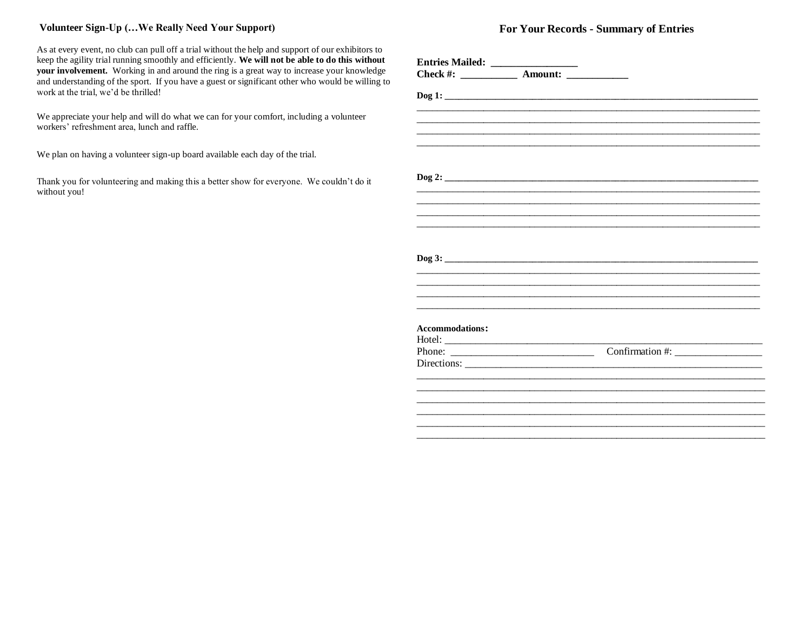#### **Volunteer Sign-Up (…We Really Need Your Support)**

As at every event, no club can pull off a trial without the help and support of our exhibitors to keep the agility trial running smoothly and efficiently. **We will not be able to do this without your involvement.** Working in and around the ring is a great way to increase your knowledge and understanding of the sport. If you have a guest or significant other who would be willing to work at the trial, we'd be thrilled!

We appreciate your help and will do what we can for your comfort, including a volunteer workers' refreshment area, lunch and raffle.

We plan on having a volunteer sign-up board available each day of the trial.

Thank you for volunteering and making this a better show for everyone. We couldn't do it without you!

### **For Your Records - Summary of Entries**

| <b>Accommodations:</b> |  |  |
|------------------------|--|--|
|                        |  |  |
|                        |  |  |
|                        |  |  |
|                        |  |  |
|                        |  |  |
|                        |  |  |
|                        |  |  |
|                        |  |  |
|                        |  |  |
|                        |  |  |